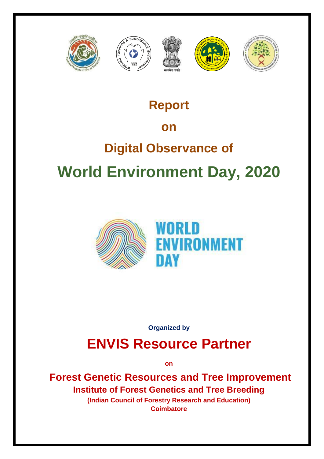









## **Report**

#### **on**

# **Digital Observance of**

# **World Environment Day, 2020**



**Organized by**

### **ENVIS Resource Partner**

**on**

**Forest Genetic Resources and Tree Improvement Institute of Forest Genetics and Tree Breeding (Indian Council of Forestry Research and Education) Coimbatore**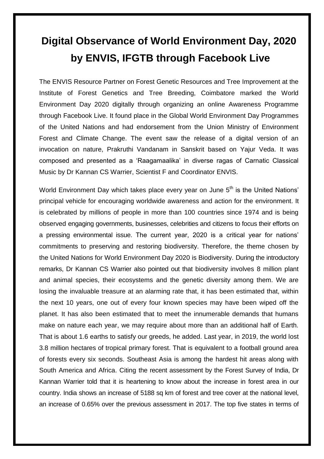### **Digital Observance of World Environment Day, 2020 by ENVIS, IFGTB through Facebook Live**

The ENVIS Resource Partner on Forest Genetic Resources and Tree Improvement at the Institute of Forest Genetics and Tree Breeding, Coimbatore marked the World Environment Day 2020 digitally through organizing an online Awareness Programme through Facebook Live. It found place in the Global World Environment Day Programmes of the United Nations and had endorsement from the Union Ministry of Environment Forest and Climate Change. The event saw the release of a digital version of an invocation on nature, Prakruthi Vandanam in Sanskrit based on Yajur Veda. It was composed and presented as a 'Raagamaalika' in diverse ragas of Carnatic Classical Music by Dr Kannan CS Warrier, Scientist F and Coordinator ENVIS.

World Environment Day which takes place every year on June  $5<sup>th</sup>$  is the United Nations' principal vehicle for encouraging worldwide awareness and action for the environment. It is celebrated by millions of people in more than 100 countries since 1974 and is being observed engaging governments, businesses, celebrities and citizens to focus their efforts on a pressing environmental issue. The current year, 2020 is a critical year for nations' commitments to preserving and restoring biodiversity. Therefore, the theme chosen by the United Nations for World Environment Day 2020 is Biodiversity. During the introductory remarks, Dr Kannan CS Warrier also pointed out that biodiversity involves 8 million plant and animal species, their ecosystems and the genetic diversity among them. We are losing the invaluable treasure at an alarming rate that, it has been estimated that, within the next 10 years, one out of every four known species may have been wiped off the planet. It has also been estimated that to meet the innumerable demands that humans make on nature each year, we may require about more than an additional half of Earth. That is about 1.6 earths to satisfy our greeds, he added. Last year, in 2019, the world lost 3.8 million hectares of tropical primary forest. That is equivalent to a football ground area of forests every six seconds. Southeast Asia is among the hardest hit areas along with South America and Africa. Citing the recent assessment by the Forest Survey of India, Dr Kannan Warrier told that it is heartening to know about the increase in forest area in our country. India shows an increase of 5188 sq km of forest and tree cover at the national level, an increase of 0.65% over the previous assessment in 2017. The top five states in terms of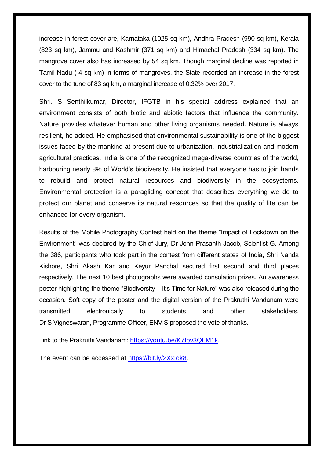increase in forest cover are, Karnataka (1025 sq km), Andhra Pradesh (990 sq km), Kerala (823 sq km), Jammu and Kashmir (371 sq km) and Himachal Pradesh (334 sq km). The mangrove cover also has increased by 54 sq km. Though marginal decline was reported in Tamil Nadu (-4 sq km) in terms of mangroves, the State recorded an increase in the forest cover to the tune of 83 sq km, a marginal increase of 0.32% over 2017.

Shri. S Senthilkumar, Director, IFGTB in his special address explained that an environment consists of both biotic and abiotic factors that influence the community. Nature provides whatever human and other living organisms needed. Nature is always resilient, he added. He emphasised that environmental sustainability is one of the biggest issues faced by the mankind at present due to urbanization, industrialization and modern agricultural practices. India is one of the recognized mega-diverse countries of the world, harbouring nearly 8% of World's biodiversity. He insisted that everyone has to join hands to rebuild and protect natural resources and biodiversity in the ecosystems. Environmental protection is a paragliding concept that describes everything we do to protect our planet and conserve its natural resources so that the quality of life can be enhanced for every organism.

Results of the Mobile Photography Contest held on the theme "Impact of Lockdown on the Environment" was declared by the Chief Jury, Dr John Prasanth Jacob, Scientist G. Among the 386, participants who took part in the contest from different states of India, Shri Nanda Kishore, Shri Akash Kar and Keyur Panchal secured first second and third places respectively. The next 10 best photographs were awarded consolation prizes. An awareness poster highlighting the theme "Biodiversity – It's Time for Nature" was also released during the occasion. Soft copy of the poster and the digital version of the Prakruthi Vandanam were transmitted electronically to students and other stakeholders. Dr S Vigneswaran, Programme Officer, ENVIS proposed the vote of thanks.

Link to the Prakruthi Vandanam: [https://youtu.be/K7Ipv3QLM1k.](https://youtu.be/K7Ipv3QLM1k)

The event can be accessed at https://bit.ly/2Xxlok8.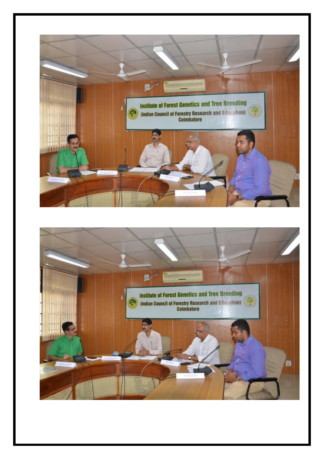

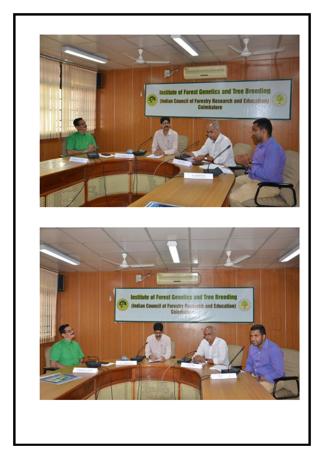

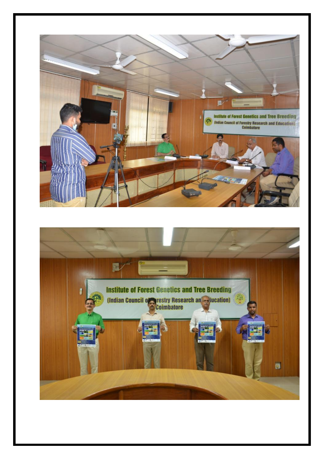